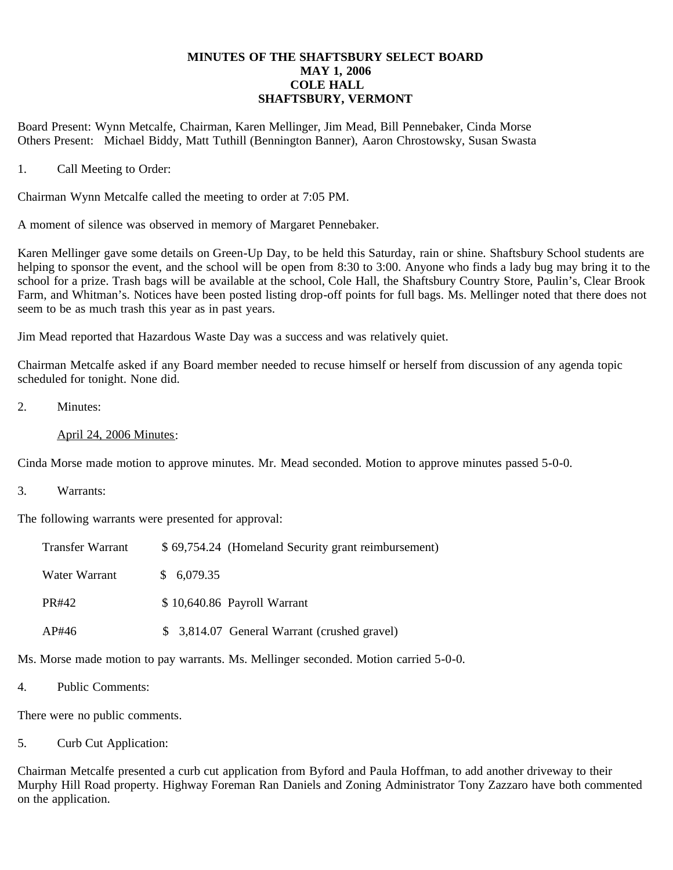## **MINUTES OF THE SHAFTSBURY SELECT BOARD MAY 1, 2006 COLE HALL SHAFTSBURY, VERMONT**

Board Present: Wynn Metcalfe, Chairman, Karen Mellinger, Jim Mead, Bill Pennebaker, Cinda Morse Others Present: Michael Biddy, Matt Tuthill (Bennington Banner), Aaron Chrostowsky, Susan Swasta

1. Call Meeting to Order:

Chairman Wynn Metcalfe called the meeting to order at 7:05 PM.

A moment of silence was observed in memory of Margaret Pennebaker.

Karen Mellinger gave some details on Green-Up Day, to be held this Saturday, rain or shine. Shaftsbury School students are helping to sponsor the event, and the school will be open from 8:30 to 3:00. Anyone who finds a lady bug may bring it to the school for a prize. Trash bags will be available at the school, Cole Hall, the Shaftsbury Country Store, Paulin's, Clear Brook Farm, and Whitman's. Notices have been posted listing drop-off points for full bags. Ms. Mellinger noted that there does not seem to be as much trash this year as in past years.

Jim Mead reported that Hazardous Waste Day was a success and was relatively quiet.

Chairman Metcalfe asked if any Board member needed to recuse himself or herself from discussion of any agenda topic scheduled for tonight. None did.

2. Minutes:

## April 24, 2006 Minutes:

Cinda Morse made motion to approve minutes. Mr. Mead seconded. Motion to approve minutes passed 5-0-0.

3. Warrants:

The following warrants were presented for approval:

| <b>Transfer Warrant</b> | \$69,754.24 (Homeland Security grant reimbursement) |
|-------------------------|-----------------------------------------------------|
| Water Warrant           | \$6,079.35                                          |
| PR#42                   | \$10,640.86 Payroll Warrant                         |
| AP#46                   | \$ 3,814.07 General Warrant (crushed gravel)        |

Ms. Morse made motion to pay warrants. Ms. Mellinger seconded. Motion carried 5-0-0.

4. Public Comments:

There were no public comments.

5. Curb Cut Application:

Chairman Metcalfe presented a curb cut application from Byford and Paula Hoffman, to add another driveway to their Murphy Hill Road property. Highway Foreman Ran Daniels and Zoning Administrator Tony Zazzaro have both commented on the application.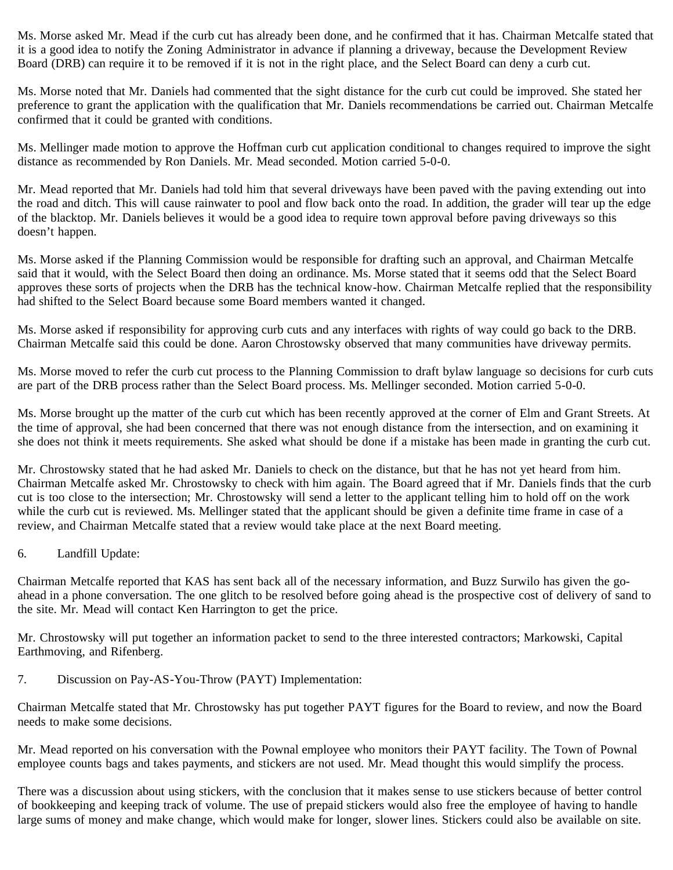Ms. Morse asked Mr. Mead if the curb cut has already been done, and he confirmed that it has. Chairman Metcalfe stated that it is a good idea to notify the Zoning Administrator in advance if planning a driveway, because the Development Review Board (DRB) can require it to be removed if it is not in the right place, and the Select Board can deny a curb cut.

Ms. Morse noted that Mr. Daniels had commented that the sight distance for the curb cut could be improved. She stated her preference to grant the application with the qualification that Mr. Daniels recommendations be carried out. Chairman Metcalfe confirmed that it could be granted with conditions.

Ms. Mellinger made motion to approve the Hoffman curb cut application conditional to changes required to improve the sight distance as recommended by Ron Daniels. Mr. Mead seconded. Motion carried 5-0-0.

Mr. Mead reported that Mr. Daniels had told him that several driveways have been paved with the paving extending out into the road and ditch. This will cause rainwater to pool and flow back onto the road. In addition, the grader will tear up the edge of the blacktop. Mr. Daniels believes it would be a good idea to require town approval before paving driveways so this doesn't happen.

Ms. Morse asked if the Planning Commission would be responsible for drafting such an approval, and Chairman Metcalfe said that it would, with the Select Board then doing an ordinance. Ms. Morse stated that it seems odd that the Select Board approves these sorts of projects when the DRB has the technical know-how. Chairman Metcalfe replied that the responsibility had shifted to the Select Board because some Board members wanted it changed.

Ms. Morse asked if responsibility for approving curb cuts and any interfaces with rights of way could go back to the DRB. Chairman Metcalfe said this could be done. Aaron Chrostowsky observed that many communities have driveway permits.

Ms. Morse moved to refer the curb cut process to the Planning Commission to draft bylaw language so decisions for curb cuts are part of the DRB process rather than the Select Board process. Ms. Mellinger seconded. Motion carried 5-0-0.

Ms. Morse brought up the matter of the curb cut which has been recently approved at the corner of Elm and Grant Streets. At the time of approval, she had been concerned that there was not enough distance from the intersection, and on examining it she does not think it meets requirements. She asked what should be done if a mistake has been made in granting the curb cut.

Mr. Chrostowsky stated that he had asked Mr. Daniels to check on the distance, but that he has not yet heard from him. Chairman Metcalfe asked Mr. Chrostowsky to check with him again. The Board agreed that if Mr. Daniels finds that the curb cut is too close to the intersection; Mr. Chrostowsky will send a letter to the applicant telling him to hold off on the work while the curb cut is reviewed. Ms. Mellinger stated that the applicant should be given a definite time frame in case of a review, and Chairman Metcalfe stated that a review would take place at the next Board meeting.

## 6. Landfill Update:

Chairman Metcalfe reported that KAS has sent back all of the necessary information, and Buzz Surwilo has given the goahead in a phone conversation. The one glitch to be resolved before going ahead is the prospective cost of delivery of sand to the site. Mr. Mead will contact Ken Harrington to get the price.

Mr. Chrostowsky will put together an information packet to send to the three interested contractors; Markowski, Capital Earthmoving, and Rifenberg.

7. Discussion on Pay-AS-You-Throw (PAYT) Implementation:

Chairman Metcalfe stated that Mr. Chrostowsky has put together PAYT figures for the Board to review, and now the Board needs to make some decisions.

Mr. Mead reported on his conversation with the Pownal employee who monitors their PAYT facility. The Town of Pownal employee counts bags and takes payments, and stickers are not used. Mr. Mead thought this would simplify the process.

There was a discussion about using stickers, with the conclusion that it makes sense to use stickers because of better control of bookkeeping and keeping track of volume. The use of prepaid stickers would also free the employee of having to handle large sums of money and make change, which would make for longer, slower lines. Stickers could also be available on site.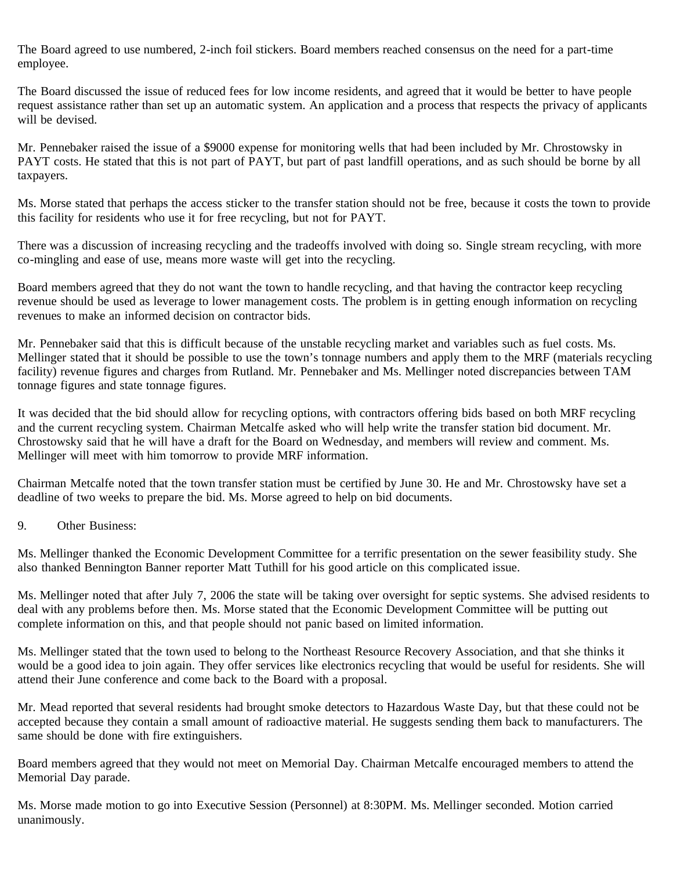The Board agreed to use numbered, 2-inch foil stickers. Board members reached consensus on the need for a part-time employee.

The Board discussed the issue of reduced fees for low income residents, and agreed that it would be better to have people request assistance rather than set up an automatic system. An application and a process that respects the privacy of applicants will be devised.

Mr. Pennebaker raised the issue of a \$9000 expense for monitoring wells that had been included by Mr. Chrostowsky in PAYT costs. He stated that this is not part of PAYT, but part of past landfill operations, and as such should be borne by all taxpayers.

Ms. Morse stated that perhaps the access sticker to the transfer station should not be free, because it costs the town to provide this facility for residents who use it for free recycling, but not for PAYT.

There was a discussion of increasing recycling and the tradeoffs involved with doing so. Single stream recycling, with more co-mingling and ease of use, means more waste will get into the recycling.

Board members agreed that they do not want the town to handle recycling, and that having the contractor keep recycling revenue should be used as leverage to lower management costs. The problem is in getting enough information on recycling revenues to make an informed decision on contractor bids.

Mr. Pennebaker said that this is difficult because of the unstable recycling market and variables such as fuel costs. Ms. Mellinger stated that it should be possible to use the town's tonnage numbers and apply them to the MRF (materials recycling facility) revenue figures and charges from Rutland. Mr. Pennebaker and Ms. Mellinger noted discrepancies between TAM tonnage figures and state tonnage figures.

It was decided that the bid should allow for recycling options, with contractors offering bids based on both MRF recycling and the current recycling system. Chairman Metcalfe asked who will help write the transfer station bid document. Mr. Chrostowsky said that he will have a draft for the Board on Wednesday, and members will review and comment. Ms. Mellinger will meet with him tomorrow to provide MRF information.

Chairman Metcalfe noted that the town transfer station must be certified by June 30. He and Mr. Chrostowsky have set a deadline of two weeks to prepare the bid. Ms. Morse agreed to help on bid documents.

9. Other Business:

Ms. Mellinger thanked the Economic Development Committee for a terrific presentation on the sewer feasibility study. She also thanked Bennington Banner reporter Matt Tuthill for his good article on this complicated issue.

Ms. Mellinger noted that after July 7, 2006 the state will be taking over oversight for septic systems. She advised residents to deal with any problems before then. Ms. Morse stated that the Economic Development Committee will be putting out complete information on this, and that people should not panic based on limited information.

Ms. Mellinger stated that the town used to belong to the Northeast Resource Recovery Association, and that she thinks it would be a good idea to join again. They offer services like electronics recycling that would be useful for residents. She will attend their June conference and come back to the Board with a proposal.

Mr. Mead reported that several residents had brought smoke detectors to Hazardous Waste Day, but that these could not be accepted because they contain a small amount of radioactive material. He suggests sending them back to manufacturers. The same should be done with fire extinguishers.

Board members agreed that they would not meet on Memorial Day. Chairman Metcalfe encouraged members to attend the Memorial Day parade.

Ms. Morse made motion to go into Executive Session (Personnel) at 8:30PM. Ms. Mellinger seconded. Motion carried unanimously.